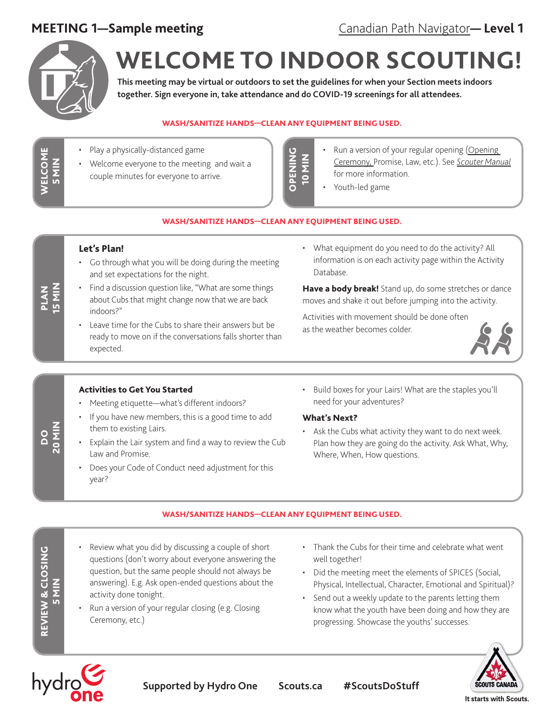

WELCOME 5 MIN

**VELCOME** 

# **WELCOME TO INDOOR SCOUTING!**

**This meeting may be virtual or outdoors to set the guidelines for when your Section meets indoors together. Sign everyone in, take attendance and do COVID-19 screenings for all attendees.**

#### WASH/SANITIZE HANDS—CLEAN ANY EQUIPMENT BEING USED.

- Play a physically-distanced game
- Welcome everyone to the meeting and wait a couple minutes for everyone to arrive.
- **UNING** OPENING MIN<sub>0</sub>
- Run a version of your regular opening (Opening [Ceremony,](https://scoutsca.s3.amazonaws.com/2019/01/scouter-manual.pdf#page=64) Promise, Law, etc.). See *[Scouter Manual](https://scoutsca.s3.amazonaws.com/2019/01/scouter-manual.pdf)* for more information.
- Youth-led game

#### WASH/SANITIZE HANDS—CLEAN ANY EQUIPMENT BEING USED.

#### Let's Plan!

- Go through what you will be doing during the meeting and set expectations for the night.
- Find a discussion question like, "What are some things about Cubs that might change now that we are back indoors?"
- Leave time for the Cubs to share their answers but be ready to move on if the conversations falls shorter than expected.
- What equipment do you need to do the activity? All information is on each activity page within the Activity Database.

Have a body break! Stand up, do some stretches or dance moves and shake it out before jumping into the activity.

Activities with movement should be done often as the weather becomes colder.



#### Activities to Get You Started

- Meeting etiquette—what's different indoors?
- If you have new members, this is a good time to add them to existing Lairs.
- Explain the Lair system and find a way to review the Cub Law and Promise.
- Does your Code of Conduct need adjustment for this year?
- Build boxes for your Lairs! What are the staples you'll need for your adventures?

### What's Next?

Ask the Cubs what activity they want to do next week. Plan how they are going do the activity. Ask What, Why, Where, When, How questions.

#### WASH/SANITIZE HANDS—CLEAN ANY EQUIPMENT BEING USED.

- Review what you did by discussing a couple of short questions (don't worry about everyone answering the question, but the same people should not always be answering). E.g. Ask open-ended questions about the activity done tonight.
- Run a version of your regular closing (e.g. Closing Ceremony, etc.)
- Thank the Cubs for their time and celebrate what went well together!
- Did the meeting meet the elements of SPICES (Social, Physical, Intellectual, Character, Emotional and Spiritual)?
- Send out a weekly update to the parents letting them know what the youth have been doing and how they are progressing. Showcase the youths' successes.



hydro

**Supported by Hydro One Scouts.ca #ScoutsDoStuff**

It starts with Scouts.

DO<br>20 MIN

REVIEW & CLOSING 5 MIN

REVIEW & CLOSING

PLAN<br>15 MIN